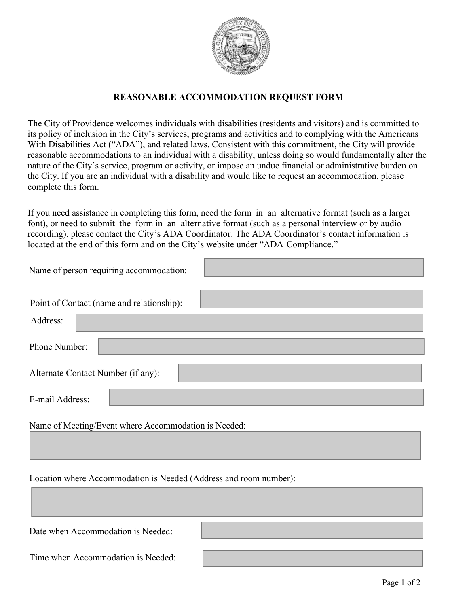

## **REASONABLE ACCOMMODATION REQUEST FORM**

The City of Providence welcomes individuals with disabilities (residents and visitors) and is committed to its policy of inclusion in the City's services, programs and activities and to complying with the Americans With Disabilities Act ("ADA"), and related laws. Consistent with this commitment, the City will provide reasonable accommodations to an individual with a disability, unless doing so would fundamentally alter the nature of the City's service, program or activity, or impose an undue financial or administrative burden on the City. If you are an individual with a disability and would like to request an accommodation, please complete this form.

If you need assistance in completing this form, need the form in an alternative format (such as a larger font), or need to submit the form in an alternative format (such as a personal interview or by audio recording), please contact the City's ADA Coordinator. The ADA Coordinator's contact information is located at the end of this form and on the City's website under "ADA Compliance."

| Name of person requiring accommodation:   |
|-------------------------------------------|
| Point of Contact (name and relationship): |
| Address:                                  |
| Phone Number:                             |
| Alternate Contact Number (if any):        |
| E-mail Address:                           |
|                                           |

Name of Meeting/Event where Accommodation is Needed:

Location where Accommodation is Needed (Address and room number):

Date when Accommodation is Needed:

Time when Accommodation is Needed: